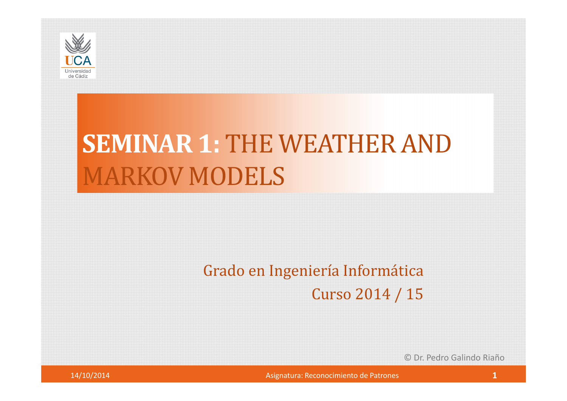

# **SEMINAR 1:** THE WEATHER AND MARKOV MODELS

#### Grado en Ingeniería Informática

Curso 2014 / 15

© Dr. Pedro Galindo Riaño

Asignatura: Reconocimiento de Patrones **1 1**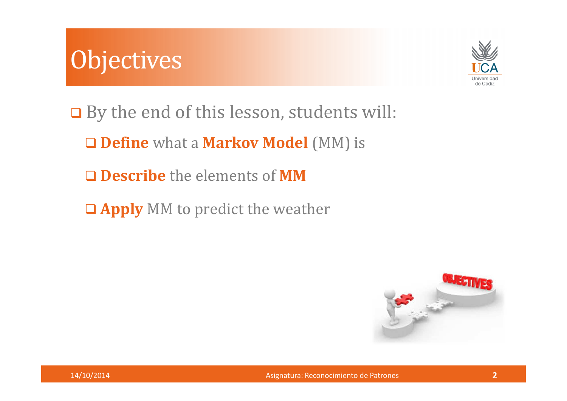# **Objectives**



**□** By the end of this lesson, students will:

**Define** what a **Markov Model** (MM) is

**Describe** the elements of **MM**

**Apply** MM to predict the weather

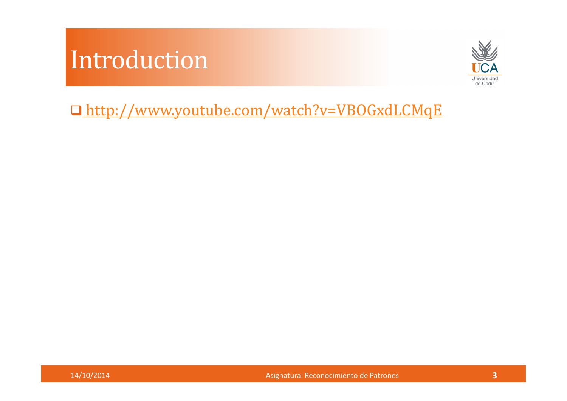### Introduction



http://www.youtube.com/watch?v=VBOGxdLCMqE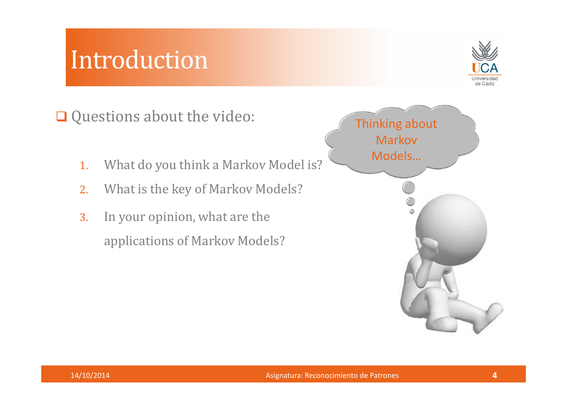#### Introduction



Questions about the video:

- 1.What do you think a Markov Model is?
- 2.What is the key of Markov Models?
- 3. In your opinion, what are the applications of Markov Models?

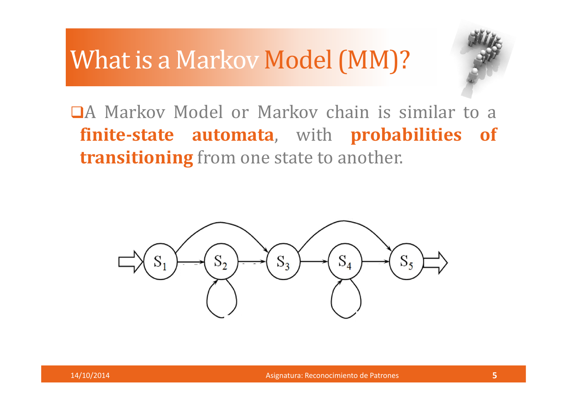### What is a Markov Model (MM)?



<sup>A</sup> Markov Model or Markov chain is similar to <sup>a</sup> **finite-state automata**, with **probabilities of transitioning** from one state to another.



Asignatura: Reconocimiento de Patrones **<sup>5</sup>**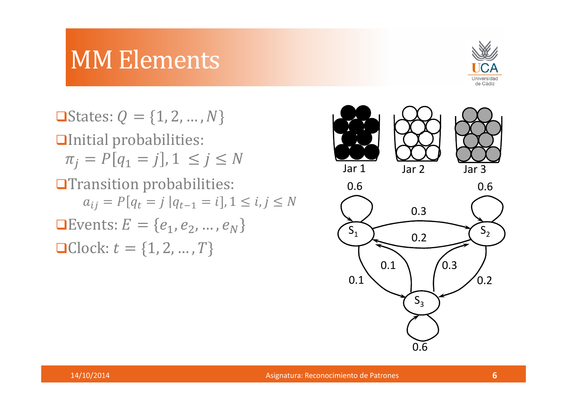

**O** States:  $Q = \{1, 2, ..., N\}$ Initial probabilities:  $\pi_j = P[q_1 = j], 1 \le j \le N$ **OTransition probabilities:**  $a_{ij} = P[q_t = j | q_{t-1} = i], 1 \le i, j \le N$ **E**vents:  $E = \{e_1, e_2, ..., e_N\}$ **Q**Clock:  $t = \{1, 2, ..., T\}$ 







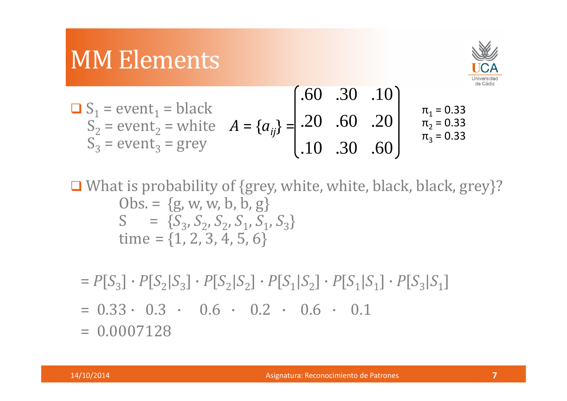

$$
S1 = event1 = blackS2 = event2 = whiteS3 = event3 = grey
$$
\n
$$
A = {aij} = {.60 .30 .10.60 .20.10 .60 .20.π1 = 0.33π2 = 0.33π3 = 0.33.π3 = 0.33
$$

What is probability of {grey, white, white, black, black, grey}?  $Obs = \{g, w, w, b, b, g\}$  $S = \{S_3, S_2, S_2, S_1, S_1, S_3\}$ time =  $\{1, 2, 3, 4, 5, 6\}$ 

 $= P[S_3] \cdot P[S_2|S_3] \cdot P[S_2|S_2] \cdot P[S_1|S_2] \cdot P[S_1|S_1] \cdot P[S_3|S_1]$ 

 $= 0.33 \cdot 0.3 \cdot 0.6 \cdot 0.2 \cdot 0.6 \cdot 0.1$ 

 $= 0.0007128$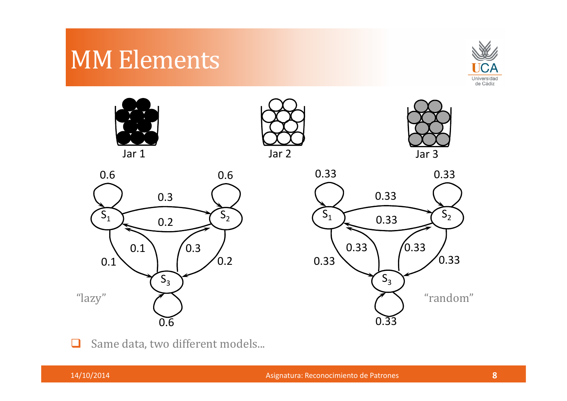



 $\Box$ Same data, two different models...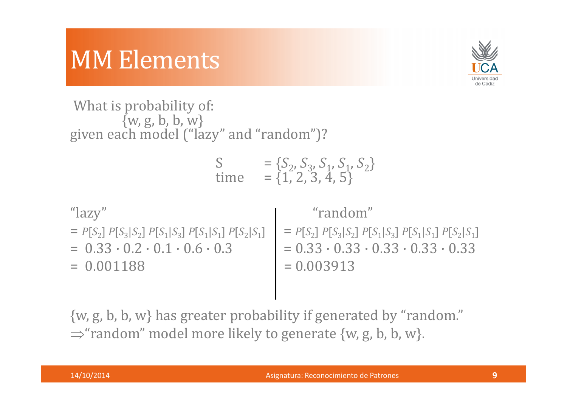

What is probability of: $\{w, g, b, b, w\}$ given each model ("lazy" and "random")?

$$
S = {S_2, S_3, S_1, S_1, S_2}
$$
  
time = {1, 2, 3, 4, 5}

"lazy" "random"  $= P[S_2] P[S_3|S_2] P[S_1|S_3] P[S_1|S_1] P[S_2|S_1]$   $= P[S_2] P[S_3|S_2] P[S_1|S_3] P[S_1|S_1] P[S_2|S_1]$ =  $0.33 \cdot 0.2 \cdot 0.1 \cdot 0.6 \cdot 0.3$  =  $0.001188$  =  $0.003913$  $= 0.001188$ 

{w, g, b, b, w} has greater probability if generated by "random." $\Rightarrow$  "random" model more likely to generate {w, g, b, b, w}.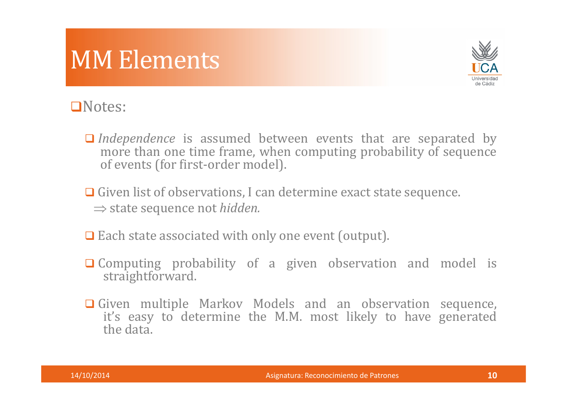

#### Notes:

- *Independence* is assumed between events that are separated by more than one time frame when computing probability of sequence more than one time frame, when computing probability of sequence of events (for first-order model).
- Given list of observations, I can determine exact state sequence. ⇒ state sequence not *hidden.*
- **□** Each state associated with only one event (output).
- **Q** Computing probability of a given observation and model is straightforward straightforward.
- Given multiple Markov Models and an observation sequence,<br>it's easy to determine the MM most likely to have generated it's easy to determine the M.M. most likely to have generated the data.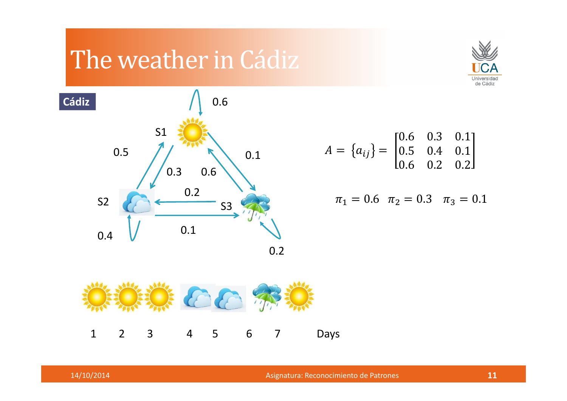# The weather in Cádiz





$$
A = \{a_{ij}\} = \begin{bmatrix} 0.6 & 0.3 & 0.1 \\ 0.5 & 0.4 & 0.1 \\ 0.6 & 0.2 & 0.2 \end{bmatrix}
$$

$$
\pi_1 = 0.6 \quad \pi_2 = 0.3 \quad \pi_3 = 0.1
$$



Asignatura: Reconocimiento de Patrones **<sup>11</sup>**